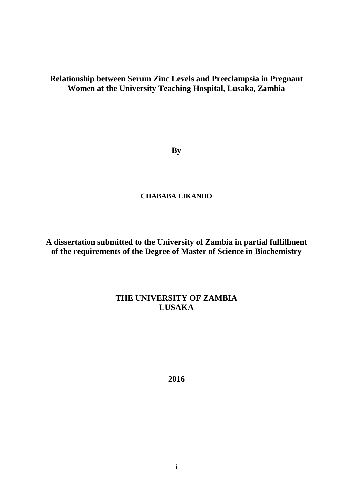## **Relationship between Serum Zinc Levels and Preeclampsia in Pregnant Women at the University Teaching Hospital, Lusaka, Zambia**

**By**

## **CHABABA LIKANDO**

**A dissertation submitted to the University of Zambia in partial fulfillment of the requirements of the Degree of Master of Science in Biochemistry**

## **THE UNIVERSITY OF ZAMBIA LUSAKA**

**2016**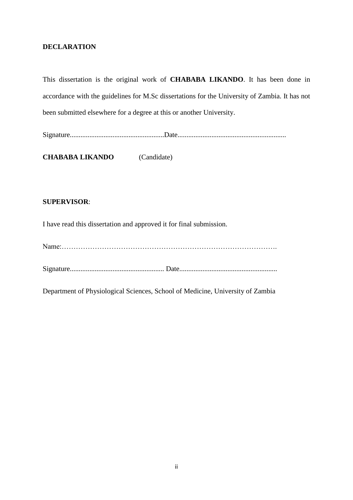## <span id="page-1-0"></span>**DECLARATION**

This dissertation is the original work of **CHABABA LIKANDO**. It has been done in accordance with the guidelines for M.Sc dissertations for the University of Zambia. It has not been submitted elsewhere for a degree at this or another University.

Signature.....................................................Date.............................................................

**CHABABA LIKANDO** (Candidate)

## **SUPERVISOR**:

I have read this dissertation and approved it for final submission.

Name:……………………………………………………………………………….

Signature..................................................... Date.......................................................

Department of Physiological Sciences, School of Medicine, University of Zambia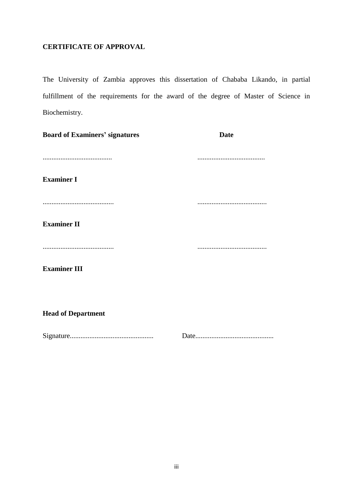## <span id="page-2-0"></span>**CERTIFICATE OF APPROVAL**

The University of Zambia approves this dissertation of Chababa Likando, in partial fulfillment of the requirements for the award of the degree of Master of Science in Biochemistry.

| <b>Board of Examiners' signatures</b> | <b>Date</b> |
|---------------------------------------|-------------|
|                                       |             |
| <b>Examiner I</b>                     |             |
|                                       |             |
| <b>Examiner II</b>                    |             |
|                                       |             |
| <b>Examiner III</b>                   |             |
|                                       |             |
|                                       |             |

**Head of Department** 

Signature............................................... Date............................................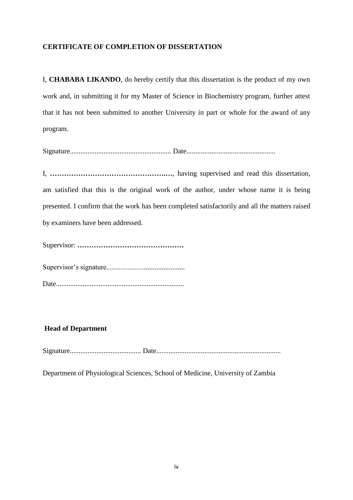## <span id="page-3-0"></span>**CERTIFICATE OF COMPLETION OF DISSERTATION**

I, **CHABABA LIKANDO**, do hereby certify that this dissertation is the product of my own work and, in submitting it for my Master of Science in Biochemistry program, further attest that it has not been submitted to another University in part or whole for the award of any program.

Signature......................................................... Date..................................................

I, **………………………………………….…**, having supervised and read this dissertation, am satisfied that this is the original work of the author, under whose name it is being presented. I confirm that the work has been completed satisfactorily and all the matters raised by examiners have been addressed.

Supervisor: **………………………………………**

Supervisor's signature............................................

Date........................................................................

## **Head of Department**

Signature........................................ Date......................................................................

Department of Physiological Sciences, School of Medicine, University of Zambia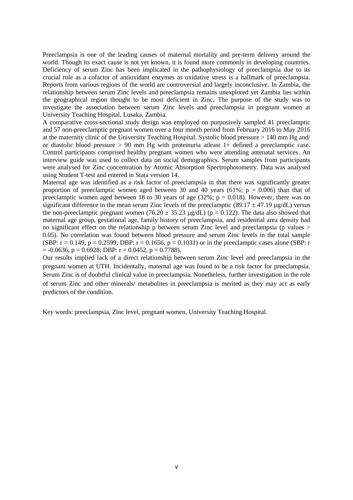Preeclampsia is one of the leading causes of maternal mortality and pre-term delivery around the world. Though its exact cause is not yet known, it is found more commonly in developing countries. Deficiency of serum Zinc has been implicated in the pathophysiology of preeclampsia due to its crucial role as a cofactor of antioxidant enzymes as oxidative stress is a hallmark of preeclampsia. Reports from various regions of the world are controversial and largely inconclusive. In Zambia, the relationship between serum Zinc levels and preeclampsia remains unexplored yet Zambia lies within the geographical region thought to be most deficient in Zinc**.** The purpose of the study was to investigate the association between serum Zinc levels and preeclampsia in pregnant women at University Teaching Hospital, Lusaka, Zambia.

A comparative cross-sectional study design was employed on purposively sampled 41 preeclamptic and 57 non-preeclamptic pregnant women over a four month period from February 2016 to May 2016 at the maternity clinic of the University Teaching Hospital. Systolic blood pressure > 140 mm Hg and/ or diastolic blood pressure  $> 90$  mm Hg with proteinuria atleast 1+ defined a preeclamptic case. Control participants comprised healthy pregnant women who were attending antenatal services. An interview guide was used to collect data on social demographics. Serum samples from participants were analysed for Zinc concentration by Atomic Absorption Spectrophotometry. Data was analysed using Student T-test and entered in Stata version 14.

Maternal age was identified as a risk factor of preeclampsia in that there was significantly greater proportion of preeclamptic women aged between 30 and 40 years (61%;  $p = 0.006$ ) than that of preeclamptic women aged between 18 to 30 years of age  $(32\%; p = 0.018)$ . However, there was no significant difference in the mean serum Zinc levels of the preeclamptic (89.17  $\pm$  47.19 µg/dL) versus the non-preeclamptic pregnant women (76.20  $\pm$  35.23 µg/dL) (p = 0.122). The data also showed that maternal age group, gestational age, family history of preeclampsia, and residential area density had no significant effect on the relationship p between serum Zinc level and preeclampsia (p values > 0.05). No correlation was found between blood pressure and serum Zinc levels in the total sample (SBP:  $r = 0.149$ ,  $p = 0.2599$ ; DBP:  $r = 0.1656$ ,  $p = 0.1031$ ) or in the preeclamptic cases alone (SBP: r  $= -0.0636$ ,  $p = 0.6928$ ; DBP:  $r = 0.0452$ ,  $p = 0.7788$ ).

Our results implied lack of a direct relationship between serum Zinc level and preeclampsia in the pregnant women at UTH. Incidentally, maternal age was found to be a risk factor for preeclampsia. Serum Zinc is of doubtful clinical value in preeclampsia. Nonetheless, further investigation in the role of serum Zinc and other minerals/ metabolites in preeclampsia is merited as they may act as early predictors of the condition.

Key words: preeclampsia, Zinc level, pregnant women, University Teaching Hospital.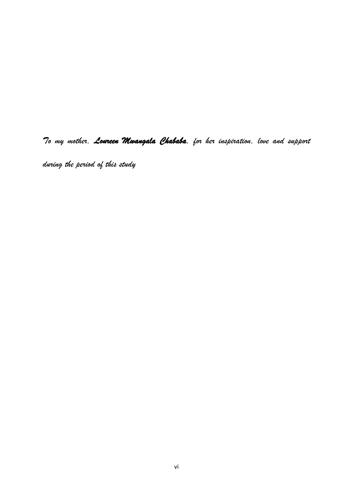*To my mother, Loureen Mwangala Chababa, for her inspiration, love and support* 

*during the period of this study*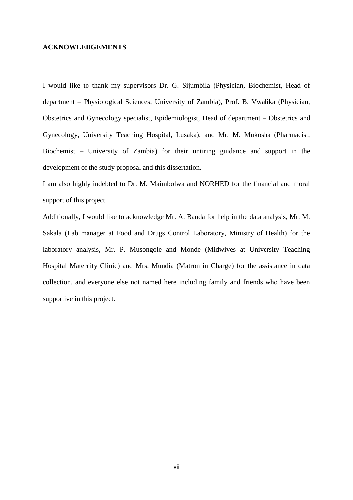#### <span id="page-6-0"></span>**ACKNOWLEDGEMENTS**

I would like to thank my supervisors Dr. G. Sijumbila (Physician, Biochemist, Head of department – Physiological Sciences, University of Zambia), Prof. B. Vwalika (Physician, Obstetrics and Gynecology specialist, Epidemiologist, Head of department – Obstetrics and Gynecology, University Teaching Hospital, Lusaka), and Mr. M. Mukosha (Pharmacist, Biochemist – University of Zambia) for their untiring guidance and support in the development of the study proposal and this dissertation.

I am also highly indebted to Dr. M. Maimbolwa and NORHED for the financial and moral support of this project.

Additionally, I would like to acknowledge Mr. A. Banda for help in the data analysis, Mr. M. Sakala (Lab manager at Food and Drugs Control Laboratory, Ministry of Health) for the laboratory analysis, Mr. P. Musongole and Monde (Midwives at University Teaching Hospital Maternity Clinic) and Mrs. Mundia (Matron in Charge) for the assistance in data collection, and everyone else not named here including family and friends who have been supportive in this project.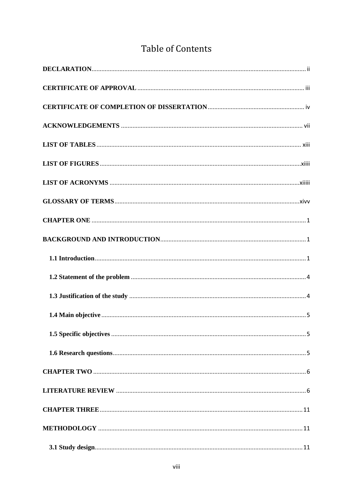# **Table of Contents**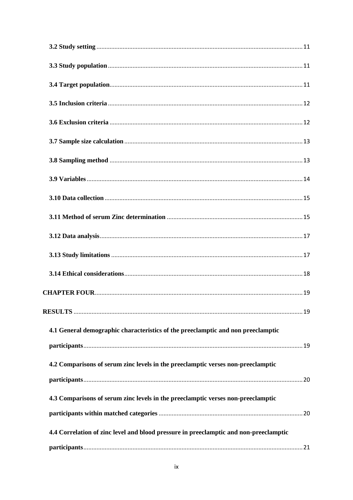| 4.1 General demographic characteristics of the preeclamptic and non preeclamptic      |
|---------------------------------------------------------------------------------------|
|                                                                                       |
| 4.2 Comparisons of serum zinc levels in the preeclamptic verses non-preeclamptic      |
|                                                                                       |
| 4.3 Comparisons of serum zinc levels in the preeclamptic verses non-preeclamptic      |
|                                                                                       |
| 4.4 Correlation of zinc level and blood pressure in preeclamptic and non-preeclamptic |
|                                                                                       |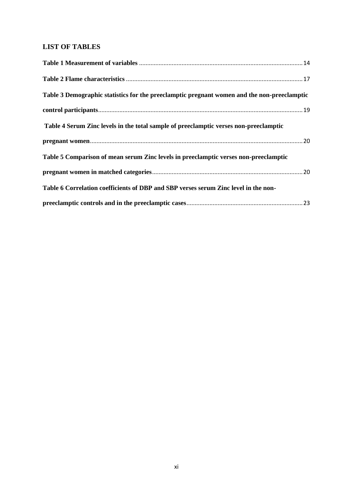## **LIST OF TABLES**

<span id="page-10-0"></span>

| Table 3 Demographic statistics for the preeclamptic pregnant women and the non-preeclamptic |  |
|---------------------------------------------------------------------------------------------|--|
|                                                                                             |  |
| Table 4 Serum Zinc levels in the total sample of preeclamptic verses non-preeclamptic       |  |
|                                                                                             |  |
| Table 5 Comparison of mean serum Zinc levels in preeclamptic verses non-preeclamptic        |  |
|                                                                                             |  |
| Table 6 Correlation coefficients of DBP and SBP verses serum Zinc level in the non-         |  |
|                                                                                             |  |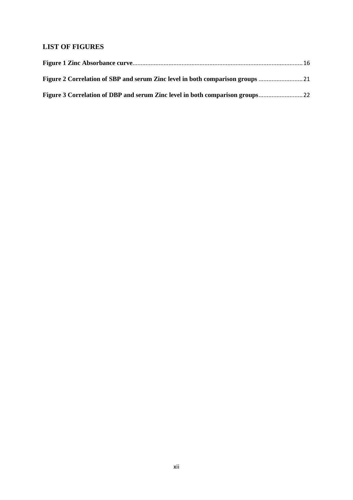## **LIST OF FIGURES**

| Figure 2 Correlation of SBP and serum Zinc level in both comparison groups |  |
|----------------------------------------------------------------------------|--|
|                                                                            |  |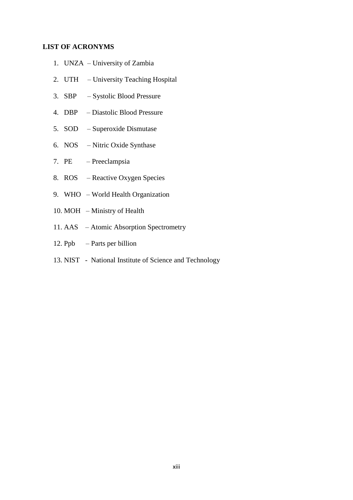## <span id="page-12-0"></span>**LIST OF ACRONYMS**

- 1. UNZA University of Zambia
- 2. UTH University Teaching Hospital
- 3. SBP Systolic Blood Pressure
- 4. DBP Diastolic Blood Pressure
- 5. SOD Superoxide Dismutase
- 6. NOS Nitric Oxide Synthase
- 7. PE Preeclampsia
- 8. ROS Reactive Oxygen Species
- 9. WHO World Health Organization
- 10. MOH Ministry of Health
- 11. AAS Atomic Absorption Spectrometry
- 12. Ppb Parts per billion
- 13. NIST National Institute of Science and Technology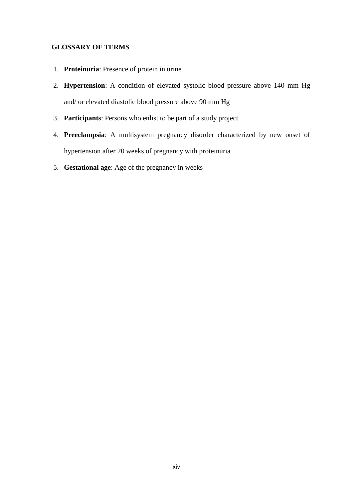## <span id="page-13-0"></span> **GLOSSARY OF TERMS**

- 1. **Proteinuria**: Presence of protein in urine
- 2. **Hypertension**: A condition of elevated systolic blood pressure above 140 mm Hg and/ or elevated diastolic blood pressure above 90 mm Hg
- 3. **Participants**: Persons who enlist to be part of a study project
- 4. **Preeclampsia**: A multisystem pregnancy disorder characterized by new onset of hypertension after 20 weeks of pregnancy with proteinuria
- 5. **Gestational age**: Age of the pregnancy in weeks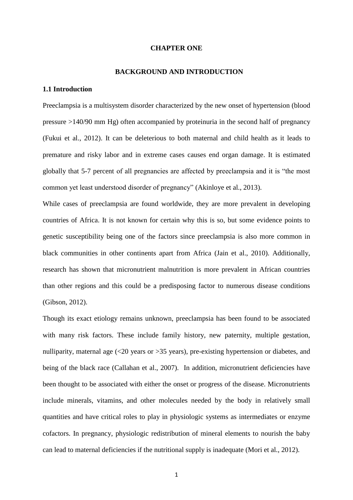#### **CHAPTER ONE**

#### <span id="page-14-1"></span> **BACKGROUND AND INTRODUCTION**

## <span id="page-14-2"></span><span id="page-14-0"></span>**1.1 Introduction**

Preeclampsia is a multisystem disorder characterized by the new onset of hypertension (blood pressure >140/90 mm Hg) often accompanied by proteinuria in the second half of pregnancy [\(Fukui et al., 2012\)](#page-43-0). It can be deleterious to both maternal and child health as it leads to premature and risky labor and in extreme cases causes end organ damage. It is estimated globally that 5-7 percent of all pregnancies are affected by preeclampsia and it is "the most common yet least understood disorder of pregnancy" [\(Akinloye et al., 2013\)](#page-42-0).

While cases of preeclampsia are found worldwide, they are more prevalent in developing countries of Africa. It is not known for certain why this is so, but some evidence points to genetic susceptibility being one of the factors since preeclampsia is also more common in black communities in other continents apart from Africa [\(Jain et al., 2010\)](#page-43-1). Additionally, research has shown that micronutrient malnutrition is more prevalent in African countries than other regions and this could be a predisposing factor to numerous disease conditions [\(Gibson, 2012\)](#page-43-2).

Though its exact etiology remains unknown, preeclampsia has been found to be associated with many risk factors. These include family history, new paternity, multiple gestation, nulliparity, maternal age  $\langle 20 \rangle$  years or  $>35$  years), pre-existing hypertension or diabetes, and being of the black race (Callahan et al., 2007). In addition, micronutrient deficiencies have been thought to be associated with either the onset or progress of the disease. Micronutrients include minerals, vitamins, and other molecules needed by the body in relatively small quantities and have critical roles to play in physiologic systems as intermediates or enzyme cofactors. In pregnancy, physiologic redistribution of mineral elements to nourish the baby can lead to maternal deficiencies if the nutritional supply is inadequate [\(Mori et al., 2012\)](#page-44-0).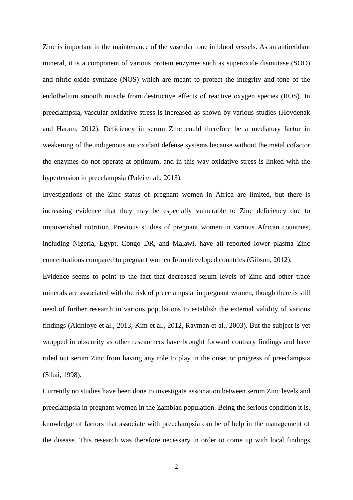Zinc is important in the maintenance of the vascular tone in blood vessels. As an antioxidant mineral, it is a component of various protein enzymes such as superoxide dismutase (SOD) and nitric oxide synthase (NOS) which are meant to protect the integrity and tone of the endothelium smooth muscle from destructive effects of reactive oxygen species (ROS). In preeclampsia, vascular oxidative stress is increased as shown by various studies [\(Hovdenak](#page-43-3)  [and Haram, 2012\)](#page-43-3). Deficiency in serum Zinc could therefore be a mediatory factor in weakening of the indigenous antioxidant defense systems because without the metal cofactor the enzymes do not operate at optimum, and in this way oxidative stress is linked with the hypertension in preeclampsia [\(Palei et al., 2013\)](#page-44-1).

Investigations of the Zinc status of pregnant women in Africa are limited, but there is increasing evidence that they may be especially vulnerable to Zinc deficiency due to impoverished nutrition. Previous studies of pregnant women in various African countries, including Nigeria, Egypt, Congo DR, and Malawi, have all reported lower plasma Zinc concentrations compared to pregnant women from developed countries [\(Gibson, 2012\)](#page-43-2).

Evidence seems to point to the fact that decreased serum levels of Zinc and other trace minerals are associated with the risk of preeclampsia in pregnant women, though there is still need of further research in various populations to establish the external validity of various findings [\(Akinloye et al., 2013,](#page-42-0) [Kim et al., 2012,](#page-44-2) [Rayman et al., 2003\)](#page-44-3). But the subject is yet wrapped in obscurity as other researchers have brought forward contrary findings and have ruled out serum Zinc from having any role to play in the onset or progress of preeclampsia [\(Sibai, 1998\)](#page-45-0).

Currently no studies have been done to investigate association between serum Zinc levels and preeclampsia in pregnant women in the Zambian population. Being the serious condition it is, knowledge of factors that associate with preeclampsia can be of help in the management of the disease. This research was therefore necessary in order to come up with local findings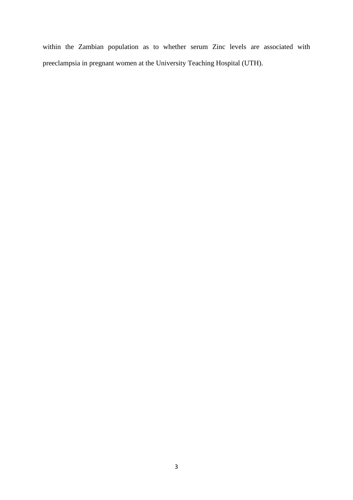within the Zambian population as to whether serum Zinc levels are associated with preeclampsia in pregnant women at the University Teaching Hospital (UTH).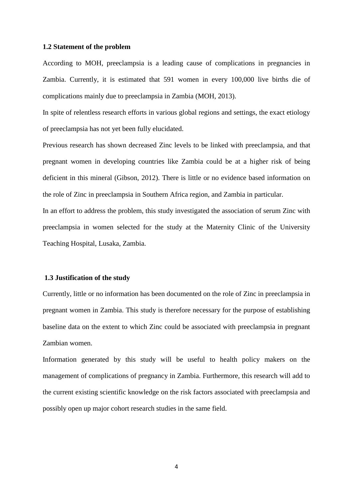#### <span id="page-17-0"></span>**1.2 Statement of the problem**

According to MOH, preeclampsia is a leading cause of complications in pregnancies in Zambia. Currently, it is estimated that 591 women in every 100,000 live births die of complications mainly due to preeclampsia in Zambia (MOH, 2013).

In spite of relentless research efforts in various global regions and settings, the exact etiology of preeclampsia has not yet been fully elucidated.

Previous research has shown decreased Zinc levels to be linked with preeclampsia, and that pregnant women in developing countries like Zambia could be at a higher risk of being deficient in this mineral [\(Gibson, 2012\)](#page-43-2). There is little or no evidence based information on the role of Zinc in preeclampsia in Southern Africa region, and Zambia in particular.

In an effort to address the problem, this study investigated the association of serum Zinc with preeclampsia in women selected for the study at the Maternity Clinic of the University Teaching Hospital, Lusaka, Zambia.

#### <span id="page-17-1"></span>**1.3 Justification of the study**

Currently, little or no information has been documented on the role of Zinc in preeclampsia in pregnant women in Zambia. This study is therefore necessary for the purpose of establishing baseline data on the extent to which Zinc could be associated with preeclampsia in pregnant Zambian women.

Information generated by this study will be useful to health policy makers on the management of complications of pregnancy in Zambia. Furthermore, this research will add to the current existing scientific knowledge on the risk factors associated with preeclampsia and possibly open up major cohort research studies in the same field.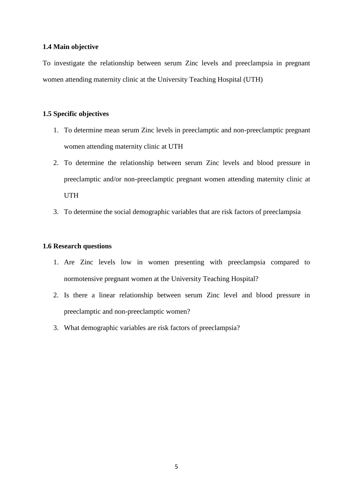## <span id="page-18-0"></span>**1.4 Main objective**

To investigate the relationship between serum Zinc levels and preeclampsia in pregnant women attending maternity clinic at the University Teaching Hospital (UTH)

## <span id="page-18-1"></span>**1.5 Specific objectives**

- 1. To determine mean serum Zinc levels in preeclamptic and non-preeclamptic pregnant women attending maternity clinic at UTH
- 2. To determine the relationship between serum Zinc levels and blood pressure in preeclamptic and/or non-preeclamptic pregnant women attending maternity clinic at UTH
- 3. To determine the social demographic variables that are risk factors of preeclampsia

## <span id="page-18-2"></span>**1.6 Research questions**

- 1. Are Zinc levels low in women presenting with preeclampsia compared to normotensive pregnant women at the University Teaching Hospital?
- 2. Is there a linear relationship between serum Zinc level and blood pressure in preeclamptic and non-preeclamptic women?
- 3. What demographic variables are risk factors of preeclampsia?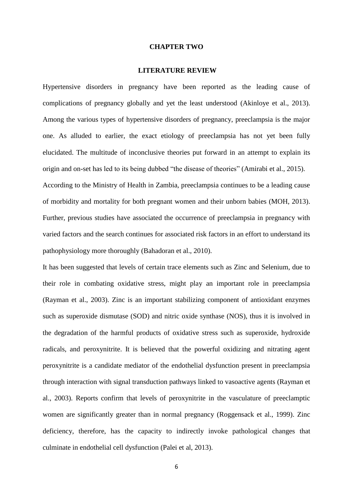#### **CHAPTER TWO**

#### <span id="page-19-1"></span>**LITERATURE REVIEW**

<span id="page-19-0"></span>Hypertensive disorders in pregnancy have been reported as the leading cause of complications of pregnancy globally and yet the least understood [\(Akinloye et al., 2013\)](#page-42-0). Among the various types of hypertensive disorders of pregnancy, preeclampsia is the major one. As alluded to earlier, the exact etiology of preeclampsia has not yet been fully elucidated. The multitude of inconclusive theories put forward in an attempt to explain its origin and on-set has led to its being dubbed "the disease of theories" [\(Amirabi et al., 2015\)](#page-42-1). According to the Ministry of Health in Zambia, preeclampsia continues to be a leading cause of morbidity and mortality for both pregnant women and their unborn babies (MOH, 2013). Further, previous studies have associated the occurrence of preeclampsia in pregnancy with varied factors and the search continues for associated risk factors in an effort to understand its

pathophysiology more thoroughly [\(Bahadoran et al., 2010\)](#page-42-2).

It has been suggested that levels of certain trace elements such as Zinc and Selenium, due to their role in combating oxidative stress, might play an important role in preeclampsia [\(Rayman et al., 2003\)](#page-44-3). Zinc is an important stabilizing component of antioxidant enzymes such as superoxide dismutase (SOD) and nitric oxide synthase (NOS), thus it is involved in the degradation of the harmful products of oxidative stress such as superoxide, hydroxide radicals, and peroxynitrite. It is believed that the powerful oxidizing and nitrating agent peroxynitrite is a candidate mediator of the endothelial dysfunction present in preeclampsia through interaction with signal transduction pathways linked to vasoactive agents (Rayman et al., 2003). Reports confirm that levels of peroxynitrite in the vasculature of preeclamptic women are significantly greater than in normal pregnancy [\(Roggensack et al., 1999\)](#page-44-4). Zinc deficiency, therefore, has the capacity to indirectly invoke pathological changes that culminate in endothelial cell dysfunction (Palei et al, 2013).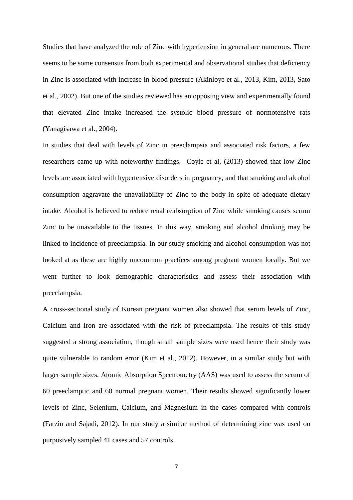Studies that have analyzed the role of Zinc with hypertension in general are numerous. There seems to be some consensus from both experimental and observational studies that deficiency in Zinc is associated with increase in blood pressure [\(Akinloye et al., 2013,](#page-42-0) [Kim, 2013,](#page-44-5) [Sato](#page-44-6)  [et al., 2002\)](#page-44-6). But one of the studies reviewed has an opposing view and experimentally found that elevated Zinc intake increased the systolic blood pressure of normotensive rats [\(Yanagisawa et al., 2004\)](#page-45-1).

In studies that deal with levels of Zinc in preeclampsia and associated risk factors, a few researchers came up with noteworthy findings. [Coyle et al. \(2013\)](#page-43-4) showed that low Zinc levels are associated with hypertensive disorders in pregnancy, and that smoking and alcohol consumption aggravate the unavailability of Zinc to the body in spite of adequate dietary intake. Alcohol is believed to reduce renal reabsorption of Zinc while smoking causes serum Zinc to be unavailable to the tissues. In this way, smoking and alcohol drinking may be linked to incidence of preeclampsia. In our study smoking and alcohol consumption was not looked at as these are highly uncommon practices among pregnant women locally. But we went further to look demographic characteristics and assess their association with preeclampsia.

A cross-sectional study of Korean pregnant women also showed that serum levels of Zinc, Calcium and Iron are associated with the risk of preeclampsia. The results of this study suggested a strong association, though small sample sizes were used hence their study was quite vulnerable to random error [\(Kim et al., 2012\)](#page-44-2). However, in a similar study but with larger sample sizes, Atomic Absorption Spectrometry (AAS) was used to assess the serum of 60 preeclamptic and 60 normal pregnant women. Their results showed significantly lower levels of Zinc, Selenium, Calcium, and Magnesium in the cases compared with controls [\(Farzin and Sajadi, 2012\)](#page-43-5). In our study a similar method of determining zinc was used on purposively sampled 41 cases and 57 controls.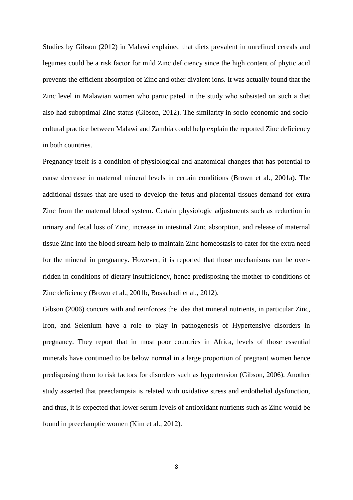Studies by [Gibson \(2012\)](#page-43-2) in Malawi explained that diets prevalent in unrefined cereals and legumes could be a risk factor for mild Zinc deficiency since the high content of phytic acid prevents the efficient absorption of Zinc and other divalent ions. It was actually found that the Zinc level in Malawian women who participated in the study who subsisted on such a diet also had suboptimal Zinc status [\(Gibson, 2012\)](#page-43-2). The similarity in socio-economic and sociocultural practice between Malawi and Zambia could help explain the reported Zinc deficiency in both countries.

Pregnancy itself is a condition of physiological and anatomical changes that has potential to cause decrease in maternal mineral levels in certain conditions [\(Brown et al., 2001a\)](#page-42-3). The additional tissues that are used to develop the fetus and placental tissues demand for extra Zinc from the maternal blood system. Certain physiologic adjustments such as reduction in urinary and fecal loss of Zinc, increase in intestinal Zinc absorption, and release of maternal tissue Zinc into the blood stream help to maintain Zinc homeostasis to cater for the extra need for the mineral in pregnancy. However, it is reported that those mechanisms can be overridden in conditions of dietary insufficiency, hence predisposing the mother to conditions of Zinc deficiency [\(Brown et al., 2001b,](#page-42-4) [Boskabadi et al., 2012\)](#page-42-5).

[Gibson \(2006\)](#page-43-6) concurs with and reinforces the idea that mineral nutrients, in particular Zinc, Iron, and Selenium have a role to play in pathogenesis of Hypertensive disorders in pregnancy. They report that in most poor countries in Africa, levels of those essential minerals have continued to be below normal in a large proportion of pregnant women hence predisposing them to risk factors for disorders such as hypertension [\(Gibson, 2006\)](#page-43-6). Another study asserted that preeclampsia is related with oxidative stress and endothelial dysfunction, and thus, it is expected that lower serum levels of antioxidant nutrients such as Zinc would be found in preeclamptic women [\(Kim et al., 2012\)](#page-44-2).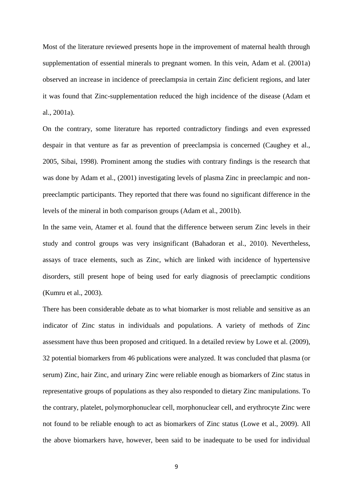Most of the literature reviewed presents hope in the improvement of maternal health through supplementation of essential minerals to pregnant women. In this vein, [Adam et al. \(2001a\)](#page-42-6) observed an increase in incidence of preeclampsia in certain Zinc deficient regions, and later it was found that Zinc-supplementation reduced the high incidence of the disease [\(Adam et](#page-42-6)  [al., 2001a\)](#page-42-6).

On the contrary, some literature has reported contradictory findings and even expressed despair in that venture as far as prevention of preeclampsia is concerned [\(Caughey et al.,](#page-43-7)  [2005,](#page-43-7) [Sibai, 1998\)](#page-45-0). Prominent among the studies with contrary findings is the research that was done by Adam et al., (2001) investigating levels of plasma Zinc in preeclampic and nonpreeclamptic participants. They reported that there was found no significant difference in the levels of the mineral in both comparison groups [\(Adam et al., 2001b\)](#page-42-7).

In the same vein, Atamer et al. found that the difference between serum Zinc levels in their study and control groups was very insignificant [\(Bahadoran et al., 2010\)](#page-42-2). Nevertheless, assays of trace elements, such as Zinc, which are linked with incidence of hypertensive disorders, still present hope of being used for early diagnosis of preeclamptic conditions [\(Kumru et al., 2003\)](#page-44-7).

There has been considerable debate as to what biomarker is most reliable and sensitive as an indicator of Zinc status in individuals and populations. A variety of methods of Zinc assessment have thus been proposed and critiqued. In a detailed review by [Lowe et al. \(2009\)](#page-44-8), 32 potential biomarkers from 46 publications were analyzed. It was concluded that plasma (or serum) Zinc, hair Zinc, and urinary Zinc were reliable enough as biomarkers of Zinc status in representative groups of populations as they also responded to dietary Zinc manipulations. To the contrary, platelet, polymorphonuclear cell, morphonuclear cell, and erythrocyte Zinc were not found to be reliable enough to act as biomarkers of Zinc status [\(Lowe et al., 2009\)](#page-44-8). All the above biomarkers have, however, been said to be inadequate to be used for individual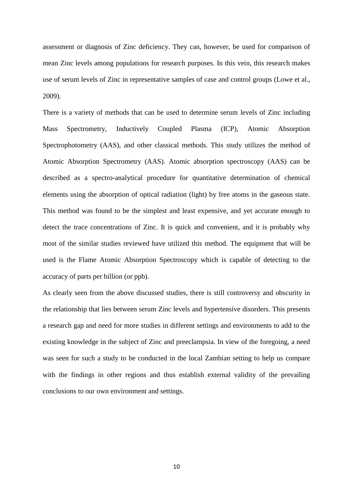assessment or diagnosis of Zinc deficiency. They can, however, be used for comparison of mean Zinc levels among populations for research purposes. In this vein, this research makes use of serum levels of Zinc in representative samples of case and control groups [\(Lowe et al.,](#page-44-8)  [2009\)](#page-44-8).

There is a variety of methods that can be used to determine serum levels of Zinc including Mass Spectrometry, Inductively Coupled Plasma (ICP), Atomic Absorption Spectrophotometry (AAS), and other classical methods. This study utilizes the method of Atomic Absorption Spectrometry (AAS). Atomic absorption spectroscopy (AAS) can be described as a spectro-analytical procedure for quantitative determination of chemical elements using the absorption of optical radiation (light) by free atoms in the gaseous state. This method was found to be the simplest and least expensive, and yet accurate enough to detect the trace concentrations of Zinc. It is quick and convenient, and it is probably why most of the similar studies reviewed have utilized this method. The equipment that will be used is the Flame Atomic Absorption Spectroscopy which is capable of detecting to the accuracy of parts per billion (or ppb).

As clearly seen from the above discussed studies, there is still controversy and obscurity in the relationship that lies between serum Zinc levels and hypertensive disorders. This presents a research gap and need for more studies in different settings and environments to add to the existing knowledge in the subject of Zinc and preeclampsia. In view of the foregoing, a need was seen for such a study to be conducted in the local Zambian setting to help us compare with the findings in other regions and thus establish external validity of the prevailing conclusions to our own environment and settings.

10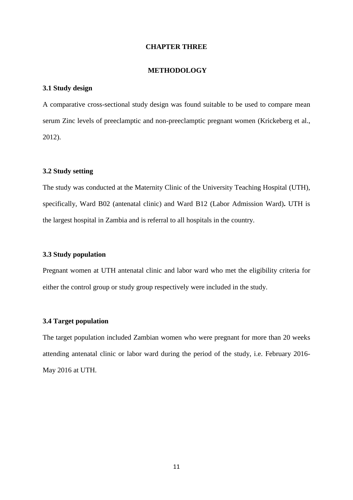#### **CHAPTER THREE**

#### <span id="page-24-1"></span>**METHODOLOGY**

## <span id="page-24-2"></span><span id="page-24-0"></span>**3.1 Study design**

A comparative cross-sectional study design was found suitable to be used to compare mean serum Zinc levels of preeclamptic and non-preeclamptic pregnant women [\(Krickeberg et al.,](#page-44-9)  [2012\)](#page-44-9).

#### <span id="page-24-3"></span>**3.2 Study setting**

The study was conducted at the Maternity Clinic of the University Teaching Hospital (UTH), specifically, Ward B02 (antenatal clinic) and Ward B12 (Labor Admission Ward)**.** UTH is the largest hospital in Zambia and is referral to all hospitals in the country.

#### <span id="page-24-4"></span>**3.3 Study population**

Pregnant women at UTH antenatal clinic and labor ward who met the eligibility criteria for either the control group or study group respectively were included in the study.

### <span id="page-24-5"></span>**3.4 Target population**

The target population included Zambian women who were pregnant for more than 20 weeks attending antenatal clinic or labor ward during the period of the study, i.e. February 2016- May 2016 at UTH.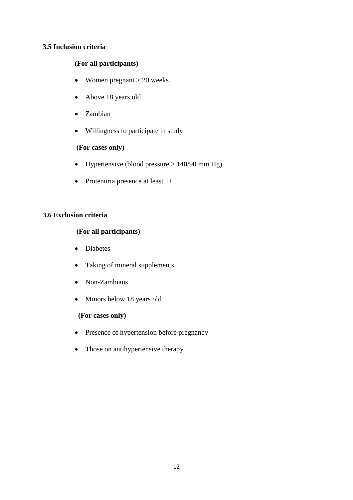## <span id="page-25-0"></span>**3.5 Inclusion criteria**

## **(For all participants)**

- Women pregnant  $> 20$  weeks
- Above 18 years old
- Zambian
- Willingness to participate in study

## **(For cases only)**

- Hypertensive (blood pressure  $> 140/90$  mm Hg)
- Protenuria presence at least  $1+$

### <span id="page-25-1"></span>**3.6 Exclusion criteria**

## **(For all participants)**

- Diabetes
- Taking of mineral supplements
- Non-Zambians
- Minors below 18 years old

## **(For cases only)**

- Presence of hypertension before pregnancy
- Those on antihypertensive therapy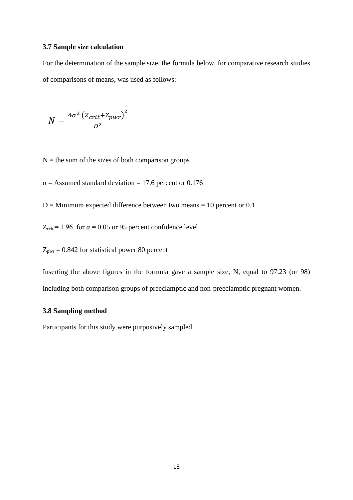### <span id="page-26-0"></span>**3.7 Sample size calculation**

For the determination of the sample size, the formula below, for comparative research studies of comparisons of means, was used as follows:

$$
N = \frac{4\sigma^2 \left(Z_{crit} + Z_{pwr}\right)^2}{D^2}
$$

 $N =$  the sum of the sizes of both comparison groups

 $\sigma$  = Assumed standard deviation = 17.6 percent or 0.176

 $D =$  Minimum expected difference between two means = 10 percent or 0.1

 $Z_{\text{crit}}$  = 1.96 for  $\alpha$  = 0.05 or 95 percent confidence level

 $Z_{\text{pwr}} = 0.842$  for statistical power 80 percent

Inserting the above figures in the formula gave a sample size, N, equal to 97.23 (or 98) including both comparison groups of preeclamptic and non-preeclamptic pregnant women.

## <span id="page-26-1"></span>**3.8 Sampling method**

Participants for this study were purposively sampled.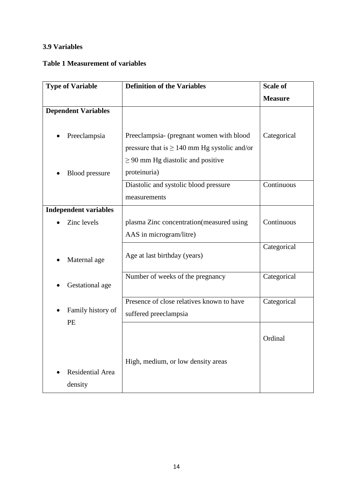## <span id="page-27-0"></span>**3.9 Variables**

## <span id="page-27-2"></span>**Table 1 Measurement of variables**

<span id="page-27-1"></span>

| <b>Type of Variable</b>      | <b>Definition of the Variables</b>                | <b>Scale of</b> |
|------------------------------|---------------------------------------------------|-----------------|
|                              |                                                   | <b>Measure</b>  |
| <b>Dependent Variables</b>   |                                                   |                 |
| Preeclampsia                 | Preeclampsia- (pregnant women with blood          | Categorical     |
|                              | pressure that is $\geq 140$ mm Hg systolic and/or |                 |
|                              | $\geq$ 90 mm Hg diastolic and positive            |                 |
| <b>Blood</b> pressure        | proteinuria)                                      |                 |
|                              | Diastolic and systolic blood pressure             | Continuous      |
|                              | measurements                                      |                 |
| <b>Independent variables</b> |                                                   |                 |
| Zinc levels                  | plasma Zinc concentration (measured using         | Continuous      |
|                              | AAS in microgram/litre)                           |                 |
|                              |                                                   | Categorical     |
| Maternal age                 | Age at last birthday (years)                      |                 |
|                              | Number of weeks of the pregnancy                  | Categorical     |
| Gestational age              |                                                   |                 |
|                              | Presence of close relatives known to have         | Categorical     |
| Family history of            | suffered preeclampsia                             |                 |
| PE                           |                                                   |                 |
|                              |                                                   | Ordinal         |
|                              |                                                   |                 |
|                              | High, medium, or low density areas                |                 |
| Residential Area             |                                                   |                 |
| density                      |                                                   |                 |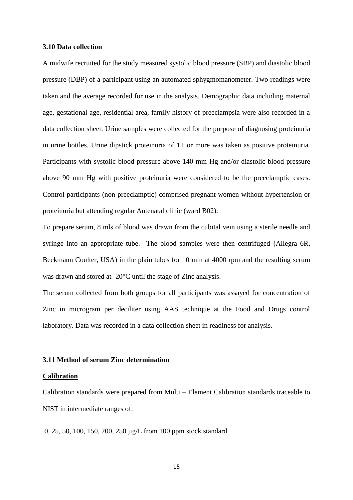#### **3.10 Data collection**

A midwife recruited for the study measured systolic blood pressure (SBP) and diastolic blood pressure (DBP) of a participant using an automated sphygmomanometer. Two readings were taken and the average recorded for use in the analysis. Demographic data including maternal age, gestational age, residential area, family history of preeclampsia were also recorded in a data collection sheet. Urine samples were collected for the purpose of diagnosing proteinuria in urine bottles. Urine dipstick proteinuria of 1+ or more was taken as positive proteinuria. Participants with systolic blood pressure above 140 mm Hg and/or diastolic blood pressure above 90 mm Hg with positive proteinuria were considered to be the preeclamptic cases. Control participants (non-preeclamptic) comprised pregnant women without hypertension or proteinuria but attending regular Antenatal clinic (ward B02).

To prepare serum, 8 mls of blood was drawn from the cubital vein using a sterile needle and syringe into an appropriate tube. The blood samples were then centrifuged (Allegra 6R, Beckmann Coulter, USA) in the plain tubes for 10 min at 4000 rpm and the resulting serum was drawn and stored at -20°C until the stage of Zinc analysis.

The serum collected from both groups for all participants was assayed for concentration of Zinc in microgram per deciliter using AAS technique at the Food and Drugs control laboratory. Data was recorded in a data collection sheet in readiness for analysis.

#### <span id="page-28-0"></span>**3.11 Method of serum Zinc determination**

#### **Calibration**

Calibration standards were prepared from Multi – Element Calibration standards traceable to NIST in intermediate ranges of:

0, 25, 50, 100, 150, 200, 250 µg/L from 100 ppm stock standard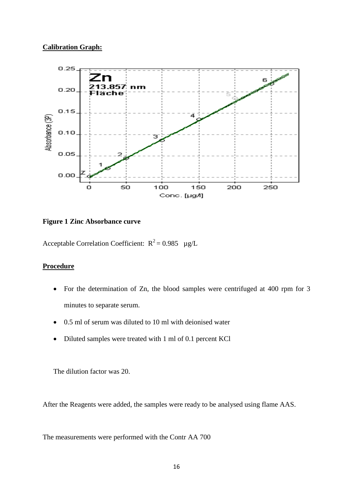## **Calibration Graph:**



## <span id="page-29-0"></span>**Figure 1 Zinc Absorbance curve**

Acceptable Correlation Coefficient:  $R^2 = 0.985$  µg/L

## **Procedure**

- For the determination of Zn, the blood samples were centrifuged at 400 rpm for 3 minutes to separate serum.
- 0.5 ml of serum was diluted to 10 ml with deionised water
- Diluted samples were treated with 1 ml of 0.1 percent KCl

The dilution factor was 20.

After the Reagents were added, the samples were ready to be analysed using flame AAS.

The measurements were performed with the Contr AA 700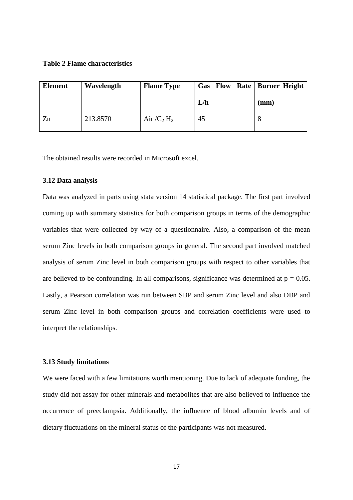#### <span id="page-30-2"></span>**Table 2 Flame characteristics**

| <b>Element</b> | Wavelength | <b>Flame Type</b>         | <b>Gas</b> Flow Rate   Burner Height |      |
|----------------|------------|---------------------------|--------------------------------------|------|
|                |            |                           | L/h                                  | (mm) |
| Zn             | 213.8570   | Air $/C_2$ H <sub>2</sub> | 45                                   |      |

The obtained results were recorded in Microsoft excel.

#### <span id="page-30-0"></span>**3.12 Data analysis**

Data was analyzed in parts using stata version 14 statistical package. The first part involved coming up with summary statistics for both comparison groups in terms of the demographic variables that were collected by way of a questionnaire. Also, a comparison of the mean serum Zinc levels in both comparison groups in general. The second part involved matched analysis of serum Zinc level in both comparison groups with respect to other variables that are believed to be confounding. In all comparisons, significance was determined at  $p = 0.05$ . Lastly, a Pearson correlation was run between SBP and serum Zinc level and also DBP and serum Zinc level in both comparison groups and correlation coefficients were used to interpret the relationships.

#### <span id="page-30-1"></span>**3.13 Study limitations**

We were faced with a few limitations worth mentioning. Due to lack of adequate funding, the study did not assay for other minerals and metabolites that are also believed to influence the occurrence of preeclampsia. Additionally, the influence of blood albumin levels and of dietary fluctuations on the mineral status of the participants was not measured.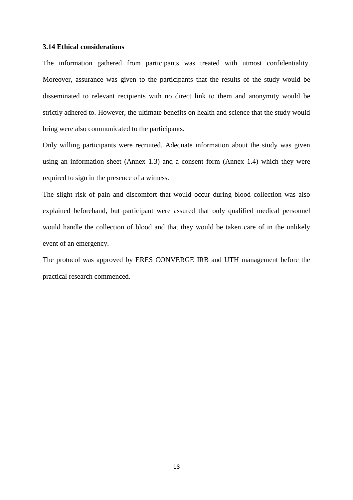## <span id="page-31-0"></span>**3.14 Ethical considerations**

The information gathered from participants was treated with utmost confidentiality. Moreover, assurance was given to the participants that the results of the study would be disseminated to relevant recipients with no direct link to them and anonymity would be strictly adhered to. However, the ultimate benefits on health and science that the study would bring were also communicated to the participants.

Only willing participants were recruited. Adequate information about the study was given using an information sheet (Annex 1.3) and a consent form (Annex 1.4) which they were required to sign in the presence of a witness.

The slight risk of pain and discomfort that would occur during blood collection was also explained beforehand, but participant were assured that only qualified medical personnel would handle the collection of blood and that they would be taken care of in the unlikely event of an emergency.

The protocol was approved by ERES CONVERGE IRB and UTH management before the practical research commenced.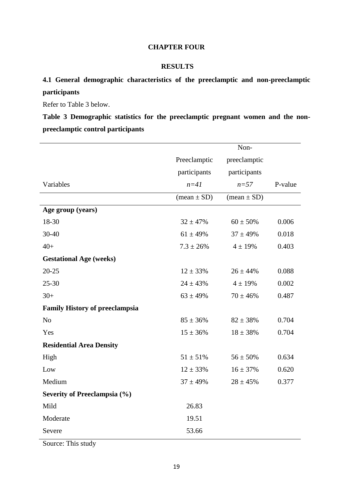## **CHAPTER FOUR**

## <span id="page-32-1"></span>**RESULTS**

## <span id="page-32-2"></span><span id="page-32-0"></span>**4.1 General demographic characteristics of the preeclamptic and non-preeclamptic participants**

Refer to Table 3 below.

<span id="page-32-3"></span>**Table 3 Demographic statistics for the preeclamptic pregnant women and the nonpreeclamptic control participants**

|                                       |                               | Non-                          |         |
|---------------------------------------|-------------------------------|-------------------------------|---------|
|                                       | Preeclamptic                  | preeclamptic                  |         |
|                                       | participants                  | participants                  |         |
| Variables                             | $n=41$                        | $n=57$                        | P-value |
|                                       | $(\text{mean} \pm \text{SD})$ | $(\text{mean} \pm \text{SD})$ |         |
| Age group (years)                     |                               |                               |         |
| 18-30                                 | $32 \pm 47\%$                 | $60 \pm 50\%$                 | 0.006   |
| 30-40                                 | $61 \pm 49\%$                 | $37 \pm 49\%$                 | 0.018   |
| $40+$                                 | $7.3 \pm 26\%$                | $4 \pm 19%$                   | 0.403   |
| <b>Gestational Age (weeks)</b>        |                               |                               |         |
| $20 - 25$                             | $12 \pm 33\%$                 | $26 \pm 44\%$                 | 0.088   |
| $25 - 30$                             | $24 \pm 43\%$                 | $4 \pm 19\%$                  | 0.002   |
| $30+$                                 | $63 \pm 49\%$                 | $70 \pm 46\%$                 | 0.487   |
| <b>Family History of preeclampsia</b> |                               |                               |         |
| N <sub>o</sub>                        | $85 \pm 36\%$                 | $82 \pm 38\%$                 | 0.704   |
| Yes                                   | $15 \pm 36\%$                 | $18 \pm 38\%$                 | 0.704   |
| <b>Residential Area Density</b>       |                               |                               |         |
| High                                  | $51 \pm 51\%$                 | $56 \pm 50\%$                 | 0.634   |
| Low                                   | $12 \pm 33\%$                 | $16 \pm 37\%$                 | 0.620   |
| Medium                                | $37 \pm 49\%$                 | $28 \pm 45%$                  | 0.377   |
| Severity of Preeclampsia (%)          |                               |                               |         |
| Mild                                  | 26.83                         |                               |         |
| Moderate                              | 19.51                         |                               |         |
| Severe                                | 53.66                         |                               |         |

Source: This study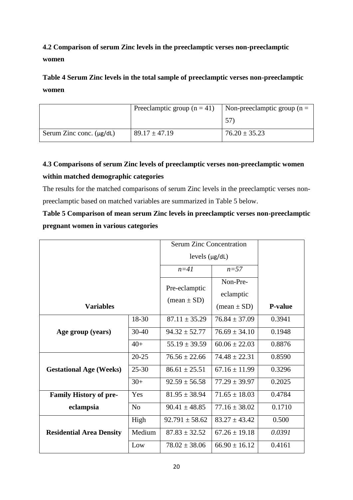**4.2 Comparison of serum Zinc levels in the preeclamptic verses non-preeclamptic women**

**Table 4 Serum Zinc levels in the total sample of preeclamptic verses non-preeclamptic women**

|                               | Preeclamptic group $(n = 41)$ | Non-preeclamptic group ( $n =$ |
|-------------------------------|-------------------------------|--------------------------------|
|                               |                               | 57                             |
| Serum Zinc conc. $(\mu g/dL)$ | $89.17 \pm 47.19$             | $76.20 \pm 35.23$              |

## <span id="page-33-0"></span>**4.3 Comparisons of serum Zinc levels of preeclamptic verses non-preeclamptic women within matched demographic categories**

The results for the matched comparisons of serum Zinc levels in the preeclamptic verses nonpreeclamptic based on matched variables are summarized in Table 5 below.

**Table 5 Comparison of mean serum Zinc levels in preeclamptic verses non-preeclamptic pregnant women in various categories**

|                                 |                | Serum Zinc Concentration                       |                                                        |                |
|---------------------------------|----------------|------------------------------------------------|--------------------------------------------------------|----------------|
|                                 |                | levels $(\mu g/dL)$                            |                                                        |                |
|                                 |                | $n=41$                                         | $n=57$                                                 |                |
| <b>Variables</b>                |                | Pre-eclamptic<br>$(\text{mean} \pm \text{SD})$ | Non-Pre-<br>eclamptic<br>$(\text{mean} \pm \text{SD})$ | <b>P-value</b> |
|                                 | 18-30          | $87.11 \pm 35.29$                              | $76.84 \pm 37.09$                                      | 0.3941         |
| Age group (years)               | $30 - 40$      | $94.32 \pm 52.77$                              | $76.69 \pm 34.10$                                      | 0.1948         |
|                                 | $40+$          | $55.19 \pm 39.59$                              | $60.06 \pm 22.03$                                      | 0.8876         |
|                                 | $20 - 25$      | $76.56 \pm 22.66$                              | $74.48 \pm 22.31$                                      | 0.8590         |
| <b>Gestational Age (Weeks)</b>  | $25 - 30$      | $86.61 \pm 25.51$                              | $67.16 \pm 11.99$                                      | 0.3296         |
|                                 | $30+$          | $92.59 \pm 56.58$                              | $77.29 \pm 39.97$                                      | 0.2025         |
| <b>Family History of pre-</b>   | Yes            | $81.95 \pm 38.94$                              | $71.65 \pm 18.03$                                      | 0.4784         |
| eclampsia                       | N <sub>0</sub> | $90.41 \pm 48.85$                              | $77.16 \pm 38.02$                                      | 0.1710         |
|                                 | High           | $92.791 \pm 58.62$                             | $83.27 \pm 43.42$                                      | 0.500          |
| <b>Residential Area Density</b> | Medium         | $87.83 \pm 32.52$                              | $67.26 \pm 19.18$                                      | 0.0391         |
|                                 | Low            | $78.02 \pm 38.06$                              | $66.90 \pm 16.12$                                      | 0.4161         |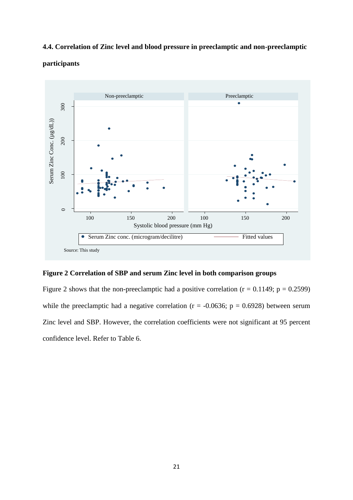## <span id="page-34-0"></span>**4.4. Correlation of Zinc level and blood pressure in preeclamptic and non-preeclamptic**



## **participants**

## <span id="page-34-1"></span>**Figure 2 Correlation of SBP and serum Zinc level in both comparison groups**

Figure 2 shows that the non-preeclamptic had a positive correlation ( $r = 0.1149$ ;  $p = 0.2599$ ) while the preeclamptic had a negative correlation ( $r = -0.0636$ ;  $p = 0.6928$ ) between serum Zinc level and SBP. However, the correlation coefficients were not significant at 95 percent confidence level. Refer to Table 6.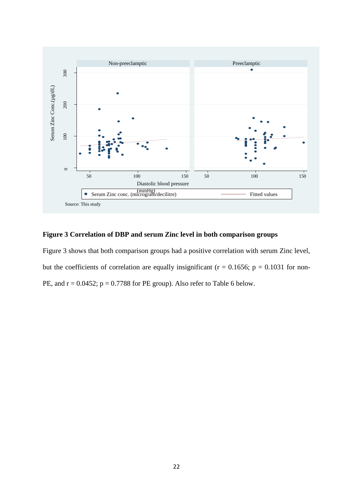

## <span id="page-35-0"></span>**Figure 3 Correlation of DBP and serum Zinc level in both comparison groups**

Figure 3 shows that both comparison groups had a positive correlation with serum Zinc level, but the coefficients of correlation are equally insignificant ( $r = 0.1656$ ;  $p = 0.1031$  for non-PE, and  $r = 0.0452$ ;  $p = 0.7788$  for PE group). Also refer to Table 6 below.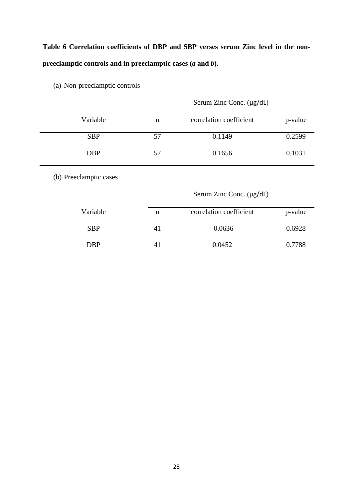# **Table 6 Correlation coefficients of DBP and SBP verses serum Zinc level in the nonpreeclamptic controls and in preeclamptic cases (***a* **and** *b***).**

<span id="page-36-0"></span>

|                        |             | Serum Zinc Conc. (µg/dL) |         |  |  |
|------------------------|-------------|--------------------------|---------|--|--|
| Variable               | $\mathbf n$ | correlation coefficient  | p-value |  |  |
| <b>SBP</b>             | 57          | 0.1149                   | 0.2599  |  |  |
| <b>DBP</b>             | 57          | 0.1656                   | 0.1031  |  |  |
| (b) Preeclamptic cases |             |                          |         |  |  |
|                        |             | Serum Zinc Conc. (µg/dL) |         |  |  |
| Variable               | $\mathbf n$ | correlation coefficient  | p-value |  |  |
| <b>SBP</b>             | 41          | $-0.0636$                | 0.6928  |  |  |
| <b>DBP</b>             | 41          | 0.0452                   | 0.7788  |  |  |

(a) Non-preeclamptic controls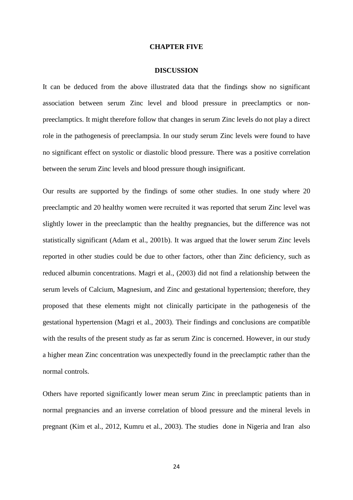#### **CHAPTER FIVE**

#### **DISCUSSION**

<span id="page-37-0"></span>It can be deduced from the above illustrated data that the findings show no significant association between serum Zinc level and blood pressure in preeclamptics or nonpreeclamptics. It might therefore follow that changes in serum Zinc levels do not play a direct role in the pathogenesis of preeclampsia. In our study serum Zinc levels were found to have no significant effect on systolic or diastolic blood pressure. There was a positive correlation between the serum Zinc levels and blood pressure though insignificant.

Our results are supported by the findings of some other studies. In one study where 20 preeclamptic and 20 healthy women were recruited it was reported that serum Zinc level was slightly lower in the preeclamptic than the healthy pregnancies, but the difference was not statistically significant [\(Adam et al., 2001b\)](#page-42-7). It was argued that the lower serum Zinc levels reported in other studies could be due to other factors, other than Zinc deficiency, such as reduced albumin concentrations. Magri et al., (2003) did not find a relationship between the serum levels of Calcium, Magnesium, and Zinc and gestational hypertension; therefore, they proposed that these elements might not clinically participate in the pathogenesis of the gestational hypertension [\(Magri et al., 2003\)](#page-44-10). Their findings and conclusions are compatible with the results of the present study as far as serum Zinc is concerned. However, in our study a higher mean Zinc concentration was unexpectedly found in the preeclamptic rather than the normal controls.

Others have reported significantly lower mean serum Zinc in preeclamptic patients than in normal pregnancies and an inverse correlation of blood pressure and the mineral levels in pregnant [\(Kim et al., 2012,](#page-44-2) [Kumru et al., 2003\)](#page-44-7). The studies done in Nigeria and Iran also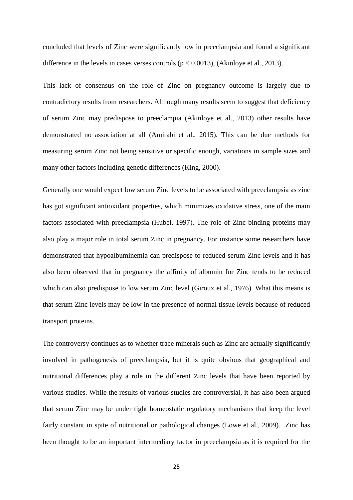concluded that levels of Zinc were significantly low in preeclampsia and found a significant difference in the levels in cases verses controls ( $p < 0.0013$ ), (Akinlove et al., 2013).

This lack of consensus on the role of Zinc on pregnancy outcome is largely due to contradictory results from researchers. Although many results seem to suggest that deficiency of serum Zinc may predispose to preeclampia [\(Akinloye et al., 2013\)](#page-42-0) other results have demonstrated no association at all [\(Amirabi et al., 2015\)](#page-42-1). This can be due methods for measuring serum Zinc not being sensitive or specific enough, variations in sample sizes and many other factors including genetic differences [\(King, 2000\)](#page-44-11).

Generally one would expect low serum Zinc levels to be associated with preeclampsia as zinc has got significant antioxidant properties, which minimizes oxidative stress, one of the main factors associated with preeclampsia [\(Hubel, 1997\)](#page-43-8). The role of Zinc binding proteins may also play a major role in total serum Zinc in pregnancy. For instance some researchers have demonstrated that hypoalbuminemia can predispose to reduced serum Zinc levels and it has also been observed that in pregnancy the affinity of albumin for Zinc tends to be reduced which can also predispose to low serum Zinc level [\(Giroux et al., 1976\)](#page-43-9). What this means is that serum Zinc levels may be low in the presence of normal tissue levels because of reduced transport proteins.

The controversy continues as to whether trace minerals such as Zinc are actually significantly involved in pathogenesis of preeclampsia, but it is quite obvious that geographical and nutritional differences play a role in the different Zinc levels that have been reported by various studies. While the results of various studies are controversial, it has also been argued that serum Zinc may be under tight homeostatic regulatory mechanisms that keep the level fairly constant in spite of nutritional or pathological changes [\(Lowe et al., 2009\)](#page-44-8). Zinc has been thought to be an important intermediary factor in preeclampsia as it is required for the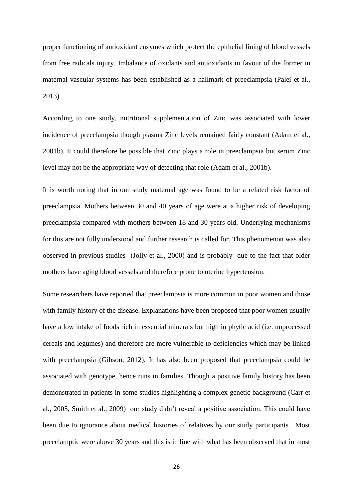proper functioning of antioxidant enzymes which protect the epithelial lining of blood vessels from free radicals injury. Imbalance of oxidants and antioxidants in favour of the former in maternal vascular systems has been established as a hallmark of preeclampsia [\(Palei et al.,](#page-44-1)  [2013\)](#page-44-1).

According to one study, nutritional supplementation of Zinc was associated with lower incidence of preeclampsia though plasma Zinc levels remained fairly constant [\(Adam et al.,](#page-42-7)  [2001b\)](#page-42-7). It could therefore be possible that Zinc plays a role in preeclampsia but serum Zinc level may not be the appropriate way of detecting that role [\(Adam et al., 2001b\)](#page-42-7).

It is worth noting that in our study maternal age was found to be a related risk factor of preeclampsia. Mothers between 30 and 40 years of age were at a higher risk of developing preeclampsia compared with mothers between 18 and 30 years old. Underlying mechanisms for this are not fully understood and further research is called for. This phenomenon was also observed in previous studies [\(Jolly et al., 2000\)](#page-43-10) and is probably due to the fact that older mothers have aging blood vessels and therefore prone to uterine hypertension.

Some researchers have reported that preeclampsia is more common in poor women and those with family history of the disease. Explanations have been proposed that poor women usually have a low intake of foods rich in essential minerals but high in phytic acid (i.e. unprocessed cereals and legumes) and therefore are more vulnerable to deficiencies which may be linked with preeclampsia [\(Gibson, 2012\)](#page-43-2). It has also been proposed that preeclampsia could be associated with genotype, hence runs in families. Though a positive family history has been demonstrated in patients in some studies highlighting a complex genetic background [\(Carr et](#page-42-8)  [al., 2005,](#page-42-8) [Smith et al.,](#page-45-2) 2009) our study didn't reveal a positive association. This could have been due to ignorance about medical histories of relatives by our study participants. Most preeclamptic were above 30 years and this is in line with what has been observed that in most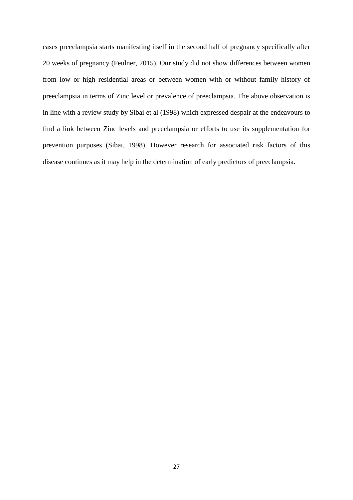cases preeclampsia starts manifesting itself in the second half of pregnancy specifically after 20 weeks of pregnancy [\(Feulner, 2015\)](#page-43-11). Our study did not show differences between women from low or high residential areas or between women with or without family history of preeclampsia in terms of Zinc level or prevalence of preeclampsia. The above observation is in line with a review study by Sibai et al (1998) which expressed despair at the endeavours to find a link between Zinc levels and preeclampsia or efforts to use its supplementation for prevention purposes [\(Sibai, 1998\)](#page-45-0). However research for associated risk factors of this disease continues as it may help in the determination of early predictors of preeclampsia.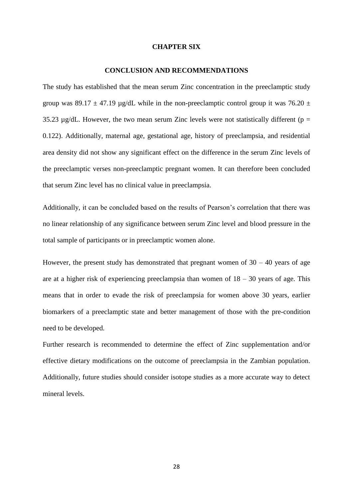#### **CHAPTER SIX**

#### **CONCLUSION AND RECOMMENDATIONS**

<span id="page-41-1"></span><span id="page-41-0"></span>The study has established that the mean serum Zinc concentration in the preeclamptic study group was 89.17  $\pm$  47.19 µg/dL while in the non-preeclamptic control group it was 76.20  $\pm$ 35.23  $\mu$ g/dL. However, the two mean serum Zinc levels were not statistically different (p = 0.122). Additionally, maternal age, gestational age, history of preeclampsia, and residential area density did not show any significant effect on the difference in the serum Zinc levels of the preeclamptic verses non-preeclamptic pregnant women. It can therefore been concluded that serum Zinc level has no clinical value in preeclampsia.

Additionally, it can be concluded based on the results of Pearson's correlation that there was no linear relationship of any significance between serum Zinc level and blood pressure in the total sample of participants or in preeclamptic women alone.

However, the present study has demonstrated that pregnant women of  $30 - 40$  years of age are at a higher risk of experiencing preeclampsia than women of  $18 - 30$  years of age. This means that in order to evade the risk of preeclampsia for women above 30 years, earlier biomarkers of a preeclamptic state and better management of those with the pre-condition need to be developed.

Further research is recommended to determine the effect of Zinc supplementation and/or effective dietary modifications on the outcome of preeclampsia in the Zambian population. Additionally, future studies should consider isotope studies as a more accurate way to detect mineral levels.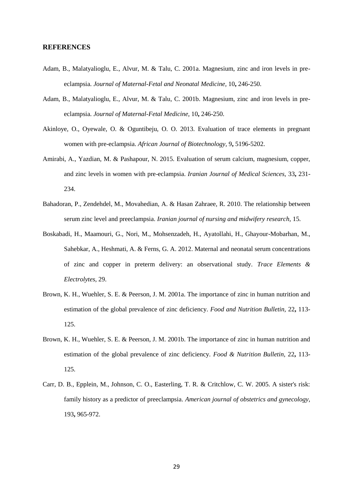#### **REFERENCES**

- <span id="page-42-6"></span>Adam, B., Malatyalioglu, E., Alvur, M. & Talu, C. 2001a. Magnesium, zinc and iron levels in preeclampsia. *Journal of Maternal-Fetal and Neonatal Medicine,* 10**,** 246-250.
- <span id="page-42-7"></span>Adam, B., Malatyalioglu, E., Alvur, M. & Talu, C. 2001b. Magnesium, zinc and iron levels in preeclampsia. *Journal of Maternal-Fetal Medicine,* 10**,** 246-250.
- <span id="page-42-0"></span>Akinloye, O., Oyewale, O. & Oguntibeju, O. O. 2013. Evaluation of trace elements in pregnant women with pre-eclampsia. *African Journal of Biotechnology,* 9**,** 5196-5202.
- <span id="page-42-1"></span>Amirabi, A., Yazdian, M. & Pashapour, N. 2015. Evaluation of serum calcium, magnesium, copper, and zinc levels in women with pre-eclampsia. *Iranian Journal of Medical Sciences,* 33**,** 231- 234.
- <span id="page-42-2"></span>Bahadoran, P., Zendehdel, M., Movahedian, A. & Hasan Zahraee, R. 2010. The relationship between serum zinc level and preeclampsia. *Iranian journal of nursing and midwifery research,* 15.
- <span id="page-42-5"></span>Boskabadi, H., Maamouri, G., Nori, M., Mohsenzadeh, H., Ayatollahi, H., Ghayour-Mobarhan, M., Sahebkar, A., Heshmati, A. & Ferns, G. A. 2012. Maternal and neonatal serum concentrations of zinc and copper in preterm delivery: an observational study. *Trace Elements & Electrolytes,* 29.
- <span id="page-42-3"></span>Brown, K. H., Wuehler, S. E. & Peerson, J. M. 2001a. The importance of zinc in human nutrition and estimation of the global prevalence of zinc deficiency. *Food and Nutrition Bulletin,* 22**,** 113- 125.
- <span id="page-42-4"></span>Brown, K. H., Wuehler, S. E. & Peerson, J. M. 2001b. The importance of zinc in human nutrition and estimation of the global prevalence of zinc deficiency. *Food & Nutrition Bulletin,* 22**,** 113- 125.
- <span id="page-42-8"></span>Carr, D. B., Epplein, M., Johnson, C. O., Easterling, T. R. & Critchlow, C. W. 2005. A sister's risk: family history as a predictor of preeclampsia. *American journal of obstetrics and gynecology,* 193**,** 965-972.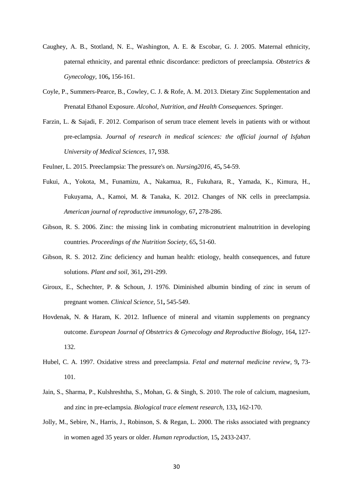- <span id="page-43-7"></span>Caughey, A. B., Stotland, N. E., Washington, A. E. & Escobar, G. J. 2005. Maternal ethnicity, paternal ethnicity, and parental ethnic discordance: predictors of preeclampsia. *Obstetrics & Gynecology,* 106**,** 156-161.
- <span id="page-43-4"></span>Coyle, P., Summers-Pearce, B., Cowley, C. J. & Rofe, A. M. 2013. Dietary Zinc Supplementation and Prenatal Ethanol Exposure. *Alcohol, Nutrition, and Health Consequences.* Springer.
- <span id="page-43-5"></span>Farzin, L. & Sajadi, F. 2012. Comparison of serum trace element levels in patients with or without pre-eclampsia. *Journal of research in medical sciences: the official journal of Isfahan University of Medical Sciences,* 17**,** 938.
- <span id="page-43-11"></span>Feulner, L. 2015. Preeclampsia: The pressure's on. *Nursing2016,* 45**,** 54-59.
- <span id="page-43-0"></span>Fukui, A., Yokota, M., Funamizu, A., Nakamua, R., Fukuhara, R., Yamada, K., Kimura, H., Fukuyama, A., Kamoi, M. & Tanaka, K. 2012. Changes of NK cells in preeclampsia. *American journal of reproductive immunology,* 67**,** 278-286.
- <span id="page-43-6"></span>Gibson, R. S. 2006. Zinc: the missing link in combating micronutrient malnutrition in developing countries. *Proceedings of the Nutrition Society,* 65**,** 51-60.
- <span id="page-43-2"></span>Gibson, R. S. 2012. Zinc deficiency and human health: etiology, health consequences, and future solutions. *Plant and soil,* 361**,** 291-299.
- <span id="page-43-9"></span>Giroux, E., Schechter, P. & Schoun, J. 1976. Diminished albumin binding of zinc in serum of pregnant women. *Clinical Science,* 51**,** 545-549.
- <span id="page-43-3"></span>Hovdenak, N. & Haram, K. 2012. Influence of mineral and vitamin supplements on pregnancy outcome. *European Journal of Obstetrics & Gynecology and Reproductive Biology,* 164**,** 127- 132.
- <span id="page-43-8"></span>Hubel, C. A. 1997. Oxidative stress and preeclampsia. *Fetal and maternal medicine review,* 9**,** 73- 101.
- <span id="page-43-1"></span>Jain, S., Sharma, P., Kulshreshtha, S., Mohan, G. & Singh, S. 2010. The role of calcium, magnesium, and zinc in pre-eclampsia. *Biological trace element research,* 133**,** 162-170.
- <span id="page-43-10"></span>Jolly, M., Sebire, N., Harris, J., Robinson, S. & Regan, L. 2000. The risks associated with pregnancy in women aged 35 years or older. *Human reproduction,* 15**,** 2433-2437.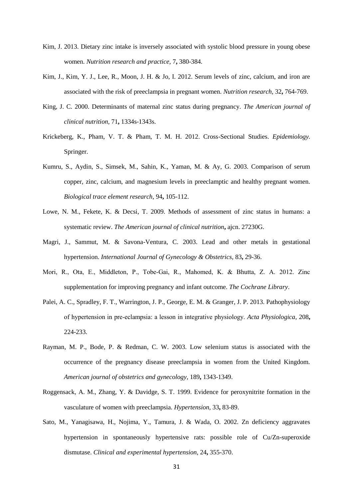- <span id="page-44-5"></span>Kim, J. 2013. Dietary zinc intake is inversely associated with systolic blood pressure in young obese women. *Nutrition research and practice,* 7**,** 380-384.
- <span id="page-44-2"></span>Kim, J., Kim, Y. J., Lee, R., Moon, J. H. & Jo, I. 2012. Serum levels of zinc, calcium, and iron are associated with the risk of preeclampsia in pregnant women. *Nutrition research,* 32**,** 764-769.
- <span id="page-44-11"></span>King, J. C. 2000. Determinants of maternal zinc status during pregnancy. *The American journal of clinical nutrition,* 71**,** 1334s-1343s.
- <span id="page-44-9"></span>Krickeberg, K., Pham, V. T. & Pham, T. M. H. 2012. Cross-Sectional Studies. *Epidemiology.* Springer.
- <span id="page-44-7"></span>Kumru, S., Aydin, S., Simsek, M., Sahin, K., Yaman, M. & Ay, G. 2003. Comparison of serum copper, zinc, calcium, and magnesium levels in preeclamptic and healthy pregnant women. *Biological trace element research,* 94**,** 105-112.
- <span id="page-44-8"></span>Lowe, N. M., Fekete, K. & Decsi, T. 2009. Methods of assessment of zinc status in humans: a systematic review. *The American journal of clinical nutrition***,** ajcn. 27230G.
- <span id="page-44-10"></span>Magri, J., Sammut, M. & Savona-Ventura, C. 2003. Lead and other metals in gestational hypertension. *International Journal of Gynecology & Obstetrics,* 83**,** 29-36.
- <span id="page-44-0"></span>Mori, R., Ota, E., Middleton, P., Tobe‐Gai, R., Mahomed, K. & Bhutta, Z. A. 2012. Zinc supplementation for improving pregnancy and infant outcome. *The Cochrane Library*.
- <span id="page-44-1"></span>Palei, A. C., Spradley, F. T., Warrington, J. P., George, E. M. & Granger, J. P. 2013. Pathophysiology of hypertension in pre‐eclampsia: a lesson in integrative physiology. *Acta Physiologica,* 208**,** 224-233.
- <span id="page-44-3"></span>Rayman, M. P., Bode, P. & Redman, C. W. 2003. Low selenium status is associated with the occurrence of the pregnancy disease preeclampsia in women from the United Kingdom. *American journal of obstetrics and gynecology,* 189**,** 1343-1349.
- <span id="page-44-4"></span>Roggensack, A. M., Zhang, Y. & Davidge, S. T. 1999. Evidence for peroxynitrite formation in the vasculature of women with preeclampsia. *Hypertension,* 33**,** 83-89.
- <span id="page-44-6"></span>Sato, M., Yanagisawa, H., Nojima, Y., Tamura, J. & Wada, O. 2002. Zn deficiency aggravates hypertension in spontaneously hypertensive rats: possible role of Cu/Zn-superoxide dismutase. *Clinical and experimental hypertension,* 24**,** 355-370.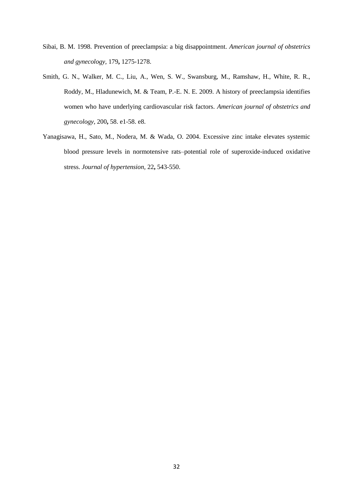- <span id="page-45-0"></span>Sibai, B. M. 1998. Prevention of preeclampsia: a big disappointment. *American journal of obstetrics and gynecology,* 179**,** 1275-1278.
- <span id="page-45-2"></span>Smith, G. N., Walker, M. C., Liu, A., Wen, S. W., Swansburg, M., Ramshaw, H., White, R. R., Roddy, M., Hladunewich, M. & Team, P.-E. N. E. 2009. A history of preeclampsia identifies women who have underlying cardiovascular risk factors. *American journal of obstetrics and gynecology,* 200**,** 58. e1-58. e8.
- <span id="page-45-1"></span>Yanagisawa, H., Sato, M., Nodera, M. & Wada, O. 2004. Excessive zinc intake elevates systemic blood pressure levels in normotensive rats–potential role of superoxide-induced oxidative stress. *Journal of hypertension,* 22**,** 543-550.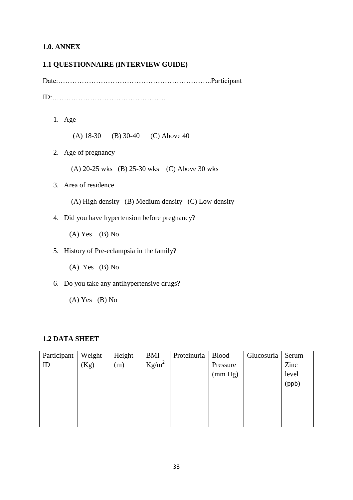## <span id="page-46-0"></span>**1.0. ANNEX**

## <span id="page-46-1"></span>**1.1 QUESTIONNAIRE (INTERVIEW GUIDE)**

Date:………………………………………………………..Participant ID:…………………………………………

1. Age

(A) 18-30 (B) 30-40 (C) Above 40

2. Age of pregnancy

(A) 20-25 wks (B) 25-30 wks (C) Above 30 wks

- 3. Area of residence
	- (A) High density (B) Medium density (C) Low density
- 4. Did you have hypertension before pregnancy?

 $(A)$  Yes  $(B)$  No

- 5. History of Pre-eclampsia in the family?
	- $(A)$  Yes  $(B)$  No
- 6. Do you take any antihypertensive drugs?
	- (A) Yes (B) No

## <span id="page-46-2"></span>**1.2 DATA SHEET**

| Participant | Weight | Height | <b>BMI</b> | Proteinuria | <b>Blood</b> | Glucosuria | Serum |
|-------------|--------|--------|------------|-------------|--------------|------------|-------|
| ID          | (Kg)   | (m)    | $Kg/m^2$   |             | Pressure     |            | Zinc  |
|             |        |        |            |             | (mm Hg)      |            | level |
|             |        |        |            |             |              |            | (ppb) |
|             |        |        |            |             |              |            |       |
|             |        |        |            |             |              |            |       |
|             |        |        |            |             |              |            |       |
|             |        |        |            |             |              |            |       |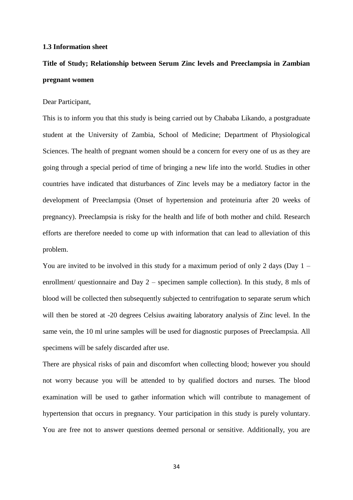#### <span id="page-47-0"></span>**1.3 Information sheet**

# **Title of Study; Relationship between Serum Zinc levels and Preeclampsia in Zambian pregnant women**

#### Dear Participant,

This is to inform you that this study is being carried out by Chababa Likando, a postgraduate student at the University of Zambia, School of Medicine; Department of Physiological Sciences. The health of pregnant women should be a concern for every one of us as they are going through a special period of time of bringing a new life into the world. Studies in other countries have indicated that disturbances of Zinc levels may be a mediatory factor in the development of Preeclampsia (Onset of hypertension and proteinuria after 20 weeks of pregnancy). Preeclampsia is risky for the health and life of both mother and child. Research efforts are therefore needed to come up with information that can lead to alleviation of this problem.

You are invited to be involved in this study for a maximum period of only 2 days (Day 1 – enrollment/ questionnaire and Day 2 – specimen sample collection). In this study, 8 mls of blood will be collected then subsequently subjected to centrifugation to separate serum which will then be stored at -20 degrees Celsius awaiting laboratory analysis of Zinc level. In the same vein, the 10 ml urine samples will be used for diagnostic purposes of Preeclampsia. All specimens will be safely discarded after use.

There are physical risks of pain and discomfort when collecting blood; however you should not worry because you will be attended to by qualified doctors and nurses. The blood examination will be used to gather information which will contribute to management of hypertension that occurs in pregnancy. Your participation in this study is purely voluntary. You are free not to answer questions deemed personal or sensitive. Additionally, you are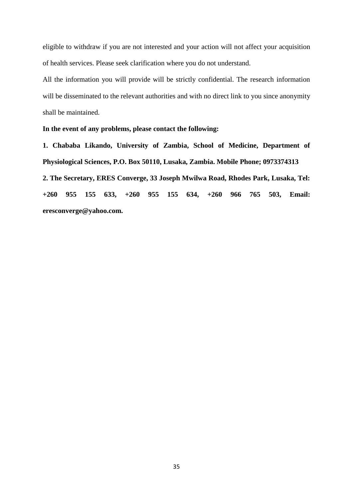eligible to withdraw if you are not interested and your action will not affect your acquisition of health services. Please seek clarification where you do not understand.

All the information you will provide will be strictly confidential. The research information will be disseminated to the relevant authorities and with no direct link to you since anonymity shall be maintained.

## **In the event of any problems, please contact the following:**

**1. Chababa Likando, University of Zambia, School of Medicine, Department of Physiological Sciences, P.O. Box 50110, Lusaka, Zambia. Mobile Phone; 0973374313 2. The Secretary, ERES Converge, 33 Joseph Mwilwa Road, Rhodes Park, Lusaka, Tel: +260 955 155 633, +260 955 155 634, +260 966 765 503, Email: eresconverge@yahoo.com.**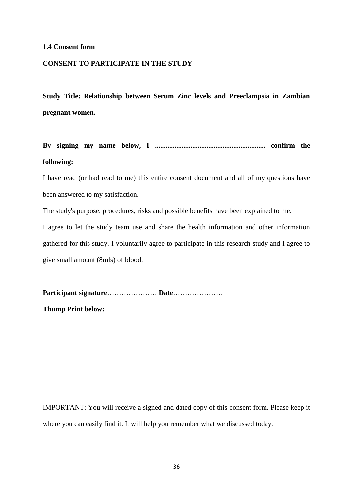#### <span id="page-49-0"></span>**1.4 Consent form**

#### **CONSENT TO PARTICIPATE IN THE STUDY**

**Study Title: Relationship between Serum Zinc levels and Preeclampsia in Zambian pregnant women.**

**By signing my name below, I .............................................................. confirm the following:**

I have read (or had read to me) this entire consent document and all of my questions have been answered to my satisfaction.

The study's purpose, procedures, risks and possible benefits have been explained to me.

I agree to let the study team use and share the health information and other information gathered for this study. I voluntarily agree to participate in this research study and I agree to give small amount (8mls) of blood.

**Participant signature**………………… **Date**…………………

**Thump Print below:**

IMPORTANT: You will receive a signed and dated copy of this consent form. Please keep it where you can easily find it. It will help you remember what we discussed today.